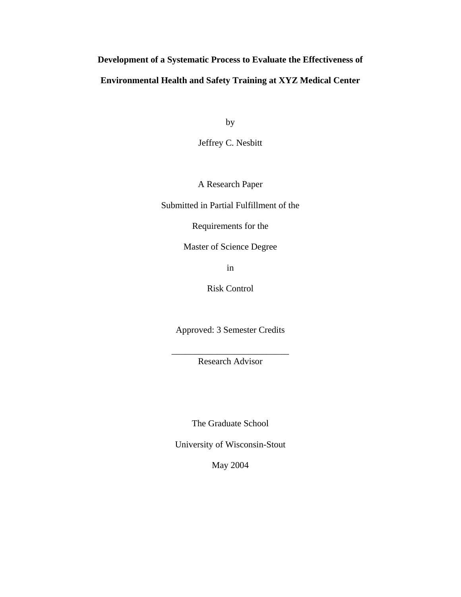# **Development of a Systematic Process to Evaluate the Effectiveness of Environmental Health and Safety Training at XYZ Medical Center**

by

Jeffrey C. Nesbitt

A Research Paper

Submitted in Partial Fulfillment of the

Requirements for the

Master of Science Degree

in

Risk Control

Approved: 3 Semester Credits

\_\_\_\_\_\_\_\_\_\_\_\_\_\_\_\_\_\_\_\_\_\_\_\_\_\_ Research Advisor

The Graduate School

University of Wisconsin-Stout

May 2004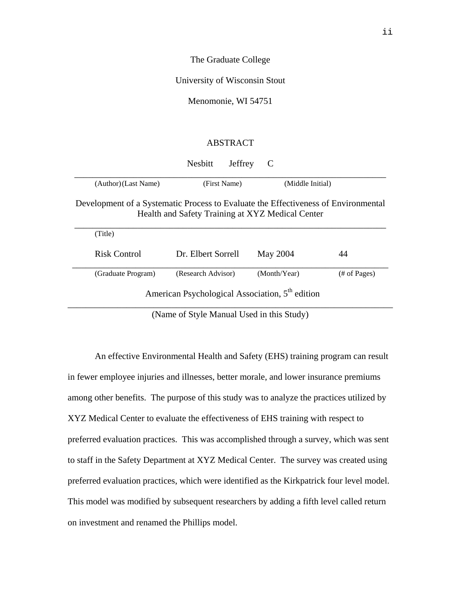The Graduate College

University of Wisconsin Stout

Menomonie, WI 54751

# ABSTRACT

|                                                                                                                                        | <b>Nesbitt</b><br>Jeffrey                                   | C                |               |  |  |
|----------------------------------------------------------------------------------------------------------------------------------------|-------------------------------------------------------------|------------------|---------------|--|--|
| (Author) (Last Name)                                                                                                                   | (First Name)                                                | (Middle Initial) |               |  |  |
| Development of a Systematic Process to Evaluate the Effectiveness of Environmental<br>Health and Safety Training at XYZ Medical Center |                                                             |                  |               |  |  |
| (Title)                                                                                                                                |                                                             |                  |               |  |  |
| Risk Control                                                                                                                           | Dr. Elbert Sorrell                                          | May 2004         | 44            |  |  |
| (Graduate Program)                                                                                                                     | (Research Advisor)                                          | (Month/Year)     | $#$ of Pages) |  |  |
|                                                                                                                                        | American Psychological Association, 5 <sup>th</sup> edition |                  |               |  |  |

(Name of Style Manual Used in this Study)

An effective Environmental Health and Safety (EHS) training program can result in fewer employee injuries and illnesses, better morale, and lower insurance premiums among other benefits. The purpose of this study was to analyze the practices utilized by XYZ Medical Center to evaluate the effectiveness of EHS training with respect to preferred evaluation practices. This was accomplished through a survey, which was sent to staff in the Safety Department at XYZ Medical Center. The survey was created using preferred evaluation practices, which were identified as the Kirkpatrick four level model. This model was modified by subsequent researchers by adding a fifth level called return on investment and renamed the Phillips model.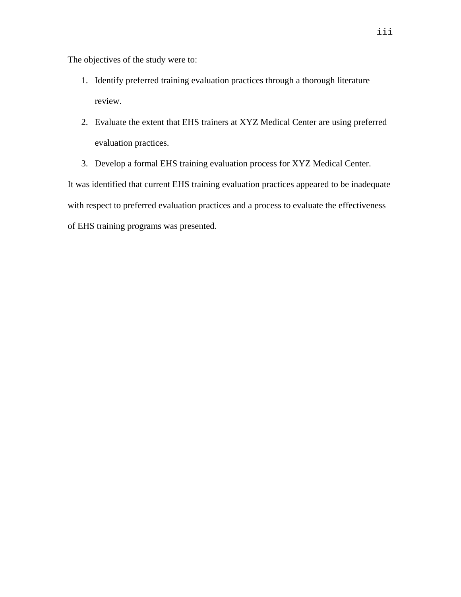The objectives of the study were to:

- 1. Identify preferred training evaluation practices through a thorough literature review.
- 2. Evaluate the extent that EHS trainers at XYZ Medical Center are using preferred evaluation practices.
- 3. Develop a formal EHS training evaluation process for XYZ Medical Center.

It was identified that current EHS training evaluation practices appeared to be inadequate with respect to preferred evaluation practices and a process to evaluate the effectiveness of EHS training programs was presented.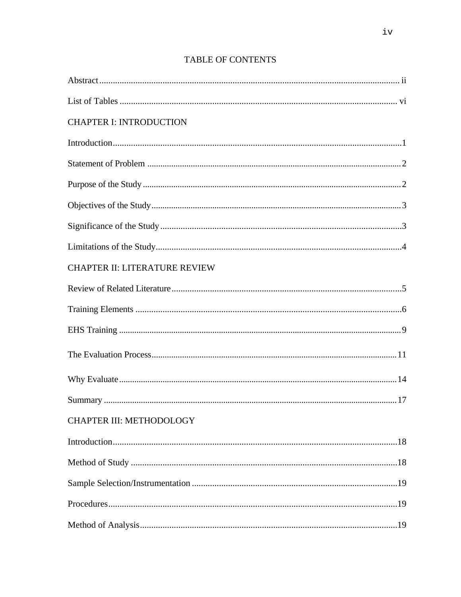| <b>CHAPTER I: INTRODUCTION</b>       |  |
|--------------------------------------|--|
|                                      |  |
|                                      |  |
|                                      |  |
|                                      |  |
|                                      |  |
|                                      |  |
| <b>CHAPTER II: LITERATURE REVIEW</b> |  |
|                                      |  |
|                                      |  |
|                                      |  |
|                                      |  |
|                                      |  |
|                                      |  |
| CHAPTER III: METHODOLOGY             |  |
|                                      |  |
|                                      |  |
|                                      |  |
|                                      |  |
|                                      |  |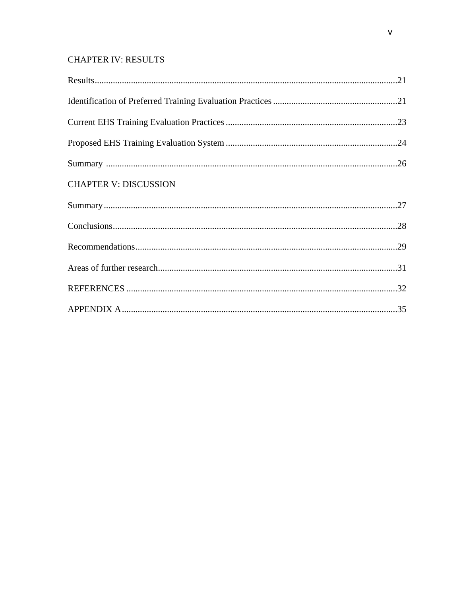# **CHAPTER IV: RESULTS**

| <b>CHAPTER V: DISCUSSION</b> |  |
|------------------------------|--|
|                              |  |
|                              |  |
|                              |  |
|                              |  |
|                              |  |
|                              |  |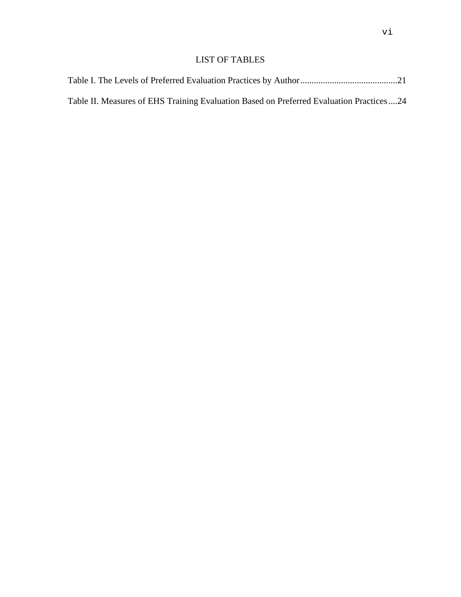# LIST OF TABLES

|  |  | Table II. Measures of EHS Training Evaluation Based on Preferred Evaluation Practices24 |  |
|--|--|-----------------------------------------------------------------------------------------|--|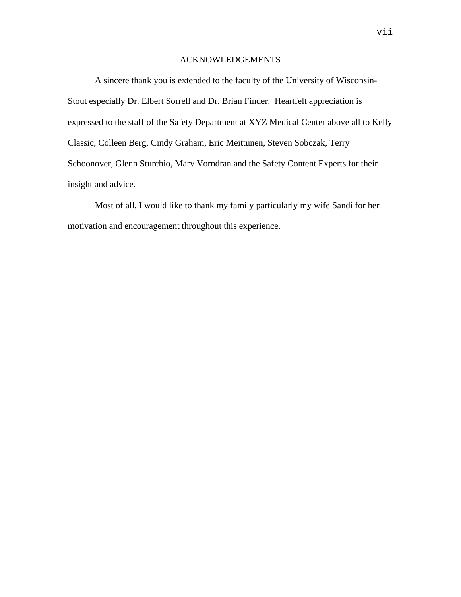# ACKNOWLEDGEMENTS

 A sincere thank you is extended to the faculty of the University of Wisconsin-Stout especially Dr. Elbert Sorrell and Dr. Brian Finder. Heartfelt appreciation is expressed to the staff of the Safety Department at XYZ Medical Center above all to Kelly Classic, Colleen Berg, Cindy Graham, Eric Meittunen, Steven Sobczak, Terry Schoonover, Glenn Sturchio, Mary Vorndran and the Safety Content Experts for their insight and advice.

 Most of all, I would like to thank my family particularly my wife Sandi for her motivation and encouragement throughout this experience.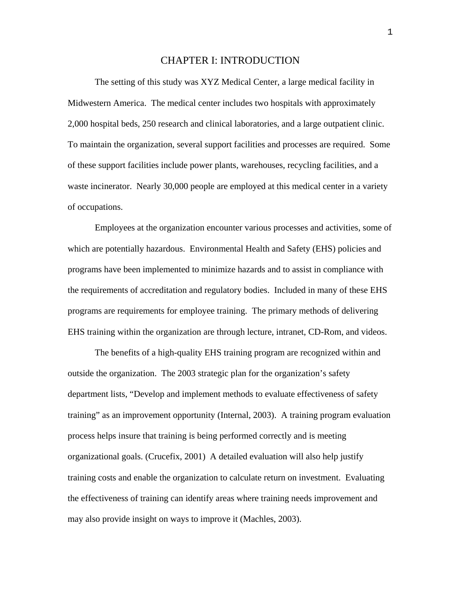## CHAPTER I: INTRODUCTION

The setting of this study was XYZ Medical Center, a large medical facility in Midwestern America. The medical center includes two hospitals with approximately 2,000 hospital beds, 250 research and clinical laboratories, and a large outpatient clinic. To maintain the organization, several support facilities and processes are required. Some of these support facilities include power plants, warehouses, recycling facilities, and a waste incinerator. Nearly 30,000 people are employed at this medical center in a variety of occupations.

Employees at the organization encounter various processes and activities, some of which are potentially hazardous. Environmental Health and Safety (EHS) policies and programs have been implemented to minimize hazards and to assist in compliance with the requirements of accreditation and regulatory bodies. Included in many of these EHS programs are requirements for employee training. The primary methods of delivering EHS training within the organization are through lecture, intranet, CD-Rom, and videos.

The benefits of a high-quality EHS training program are recognized within and outside the organization. The 2003 strategic plan for the organization's safety department lists, "Develop and implement methods to evaluate effectiveness of safety training" as an improvement opportunity (Internal, 2003). A training program evaluation process helps insure that training is being performed correctly and is meeting organizational goals. (Crucefix, 2001) A detailed evaluation will also help justify training costs and enable the organization to calculate return on investment. Evaluating the effectiveness of training can identify areas where training needs improvement and may also provide insight on ways to improve it (Machles, 2003).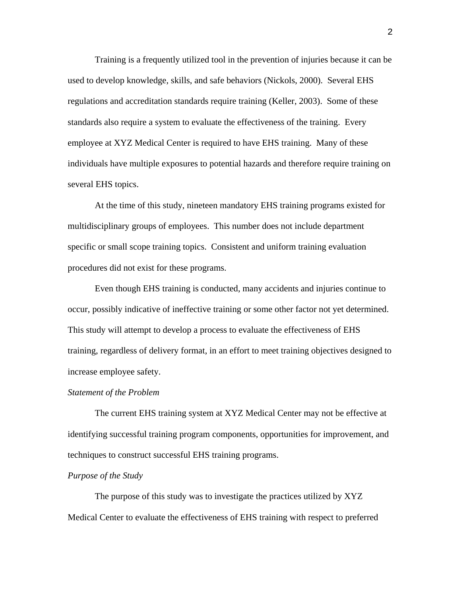Training is a frequently utilized tool in the prevention of injuries because it can be used to develop knowledge, skills, and safe behaviors (Nickols, 2000). Several EHS regulations and accreditation standards require training (Keller, 2003). Some of these standards also require a system to evaluate the effectiveness of the training. Every employee at XYZ Medical Center is required to have EHS training. Many of these individuals have multiple exposures to potential hazards and therefore require training on several EHS topics.

At the time of this study, nineteen mandatory EHS training programs existed for multidisciplinary groups of employees. This number does not include department specific or small scope training topics. Consistent and uniform training evaluation procedures did not exist for these programs.

Even though EHS training is conducted, many accidents and injuries continue to occur, possibly indicative of ineffective training or some other factor not yet determined. This study will attempt to develop a process to evaluate the effectiveness of EHS training, regardless of delivery format, in an effort to meet training objectives designed to increase employee safety.

#### *Statement of the Problem*

The current EHS training system at XYZ Medical Center may not be effective at identifying successful training program components, opportunities for improvement, and techniques to construct successful EHS training programs.

#### *Purpose of the Study*

The purpose of this study was to investigate the practices utilized by XYZ Medical Center to evaluate the effectiveness of EHS training with respect to preferred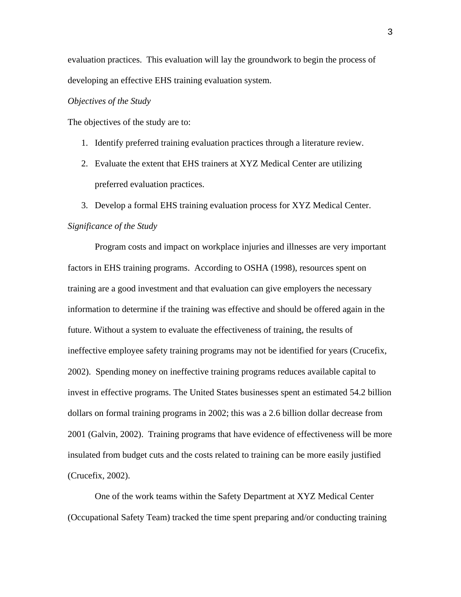evaluation practices. This evaluation will lay the groundwork to begin the process of developing an effective EHS training evaluation system.

## *Objectives of the Study*

The objectives of the study are to:

- 1. Identify preferred training evaluation practices through a literature review.
- 2. Evaluate the extent that EHS trainers at XYZ Medical Center are utilizing preferred evaluation practices.
- 3. Develop a formal EHS training evaluation process for XYZ Medical Center.

#### *Significance of the Study*

Program costs and impact on workplace injuries and illnesses are very important factors in EHS training programs. According to OSHA (1998), resources spent on training are a good investment and that evaluation can give employers the necessary information to determine if the training was effective and should be offered again in the future. Without a system to evaluate the effectiveness of training, the results of ineffective employee safety training programs may not be identified for years (Crucefix, 2002). Spending money on ineffective training programs reduces available capital to invest in effective programs. The United States businesses spent an estimated 54.2 billion dollars on formal training programs in 2002; this was a 2.6 billion dollar decrease from 2001 (Galvin, 2002). Training programs that have evidence of effectiveness will be more insulated from budget cuts and the costs related to training can be more easily justified (Crucefix, 2002).

One of the work teams within the Safety Department at XYZ Medical Center (Occupational Safety Team) tracked the time spent preparing and/or conducting training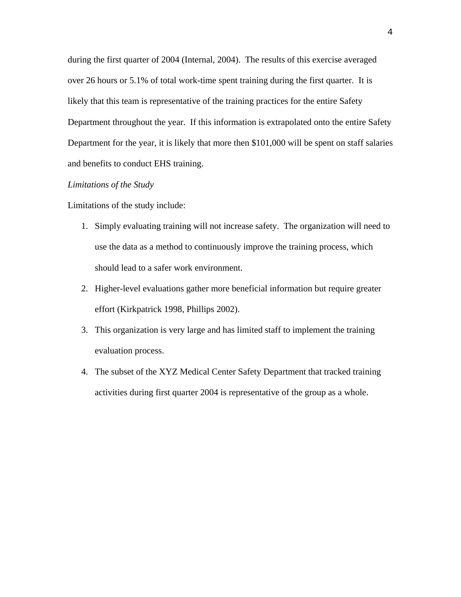during the first quarter of 2004 (Internal, 2004). The results of this exercise averaged over 26 hours or 5.1% of total work-time spent training during the first quarter. It is likely that this team is representative of the training practices for the entire Safety Department throughout the year. If this information is extrapolated onto the entire Safety Department for the year, it is likely that more then \$101,000 will be spent on staff salaries and benefits to conduct EHS training.

#### *Limitations of the Study*

Limitations of the study include:

- 1. Simply evaluating training will not increase safety. The organization will need to use the data as a method to continuously improve the training process, which should lead to a safer work environment.
- 2. Higher-level evaluations gather more beneficial information but require greater effort (Kirkpatrick 1998, Phillips 2002).
- 3. This organization is very large and has limited staff to implement the training evaluation process.
- 4. The subset of the XYZ Medical Center Safety Department that tracked training activities during first quarter 2004 is representative of the group as a whole.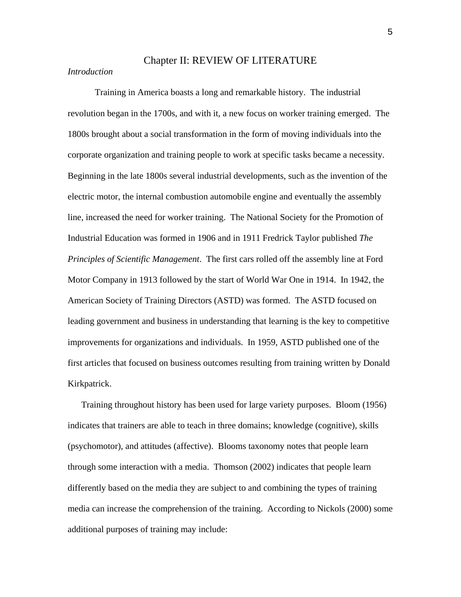# Chapter II: REVIEW OF LITERATURE

# *Introduction*

Training in America boasts a long and remarkable history. The industrial revolution began in the 1700s, and with it, a new focus on worker training emerged. The 1800s brought about a social transformation in the form of moving individuals into the corporate organization and training people to work at specific tasks became a necessity. Beginning in the late 1800s several industrial developments, such as the invention of the electric motor, the internal combustion automobile engine and eventually the assembly line, increased the need for worker training. The National Society for the Promotion of Industrial Education was formed in 1906 and in 1911 Fredrick Taylor published *The Principles of Scientific Management*. The first cars rolled off the assembly line at Ford Motor Company in 1913 followed by the start of World War One in 1914. In 1942, the American Society of Training Directors (ASTD) was formed. The ASTD focused on leading government and business in understanding that learning is the key to competitive improvements for organizations and individuals. In 1959, ASTD published one of the first articles that focused on business outcomes resulting from training written by Donald Kirkpatrick.

Training throughout history has been used for large variety purposes. Bloom (1956) indicates that trainers are able to teach in three domains; knowledge (cognitive), skills (psychomotor), and attitudes (affective). Blooms taxonomy notes that people learn through some interaction with a media. Thomson (2002) indicates that people learn differently based on the media they are subject to and combining the types of training media can increase the comprehension of the training. According to Nickols (2000) some additional purposes of training may include:

5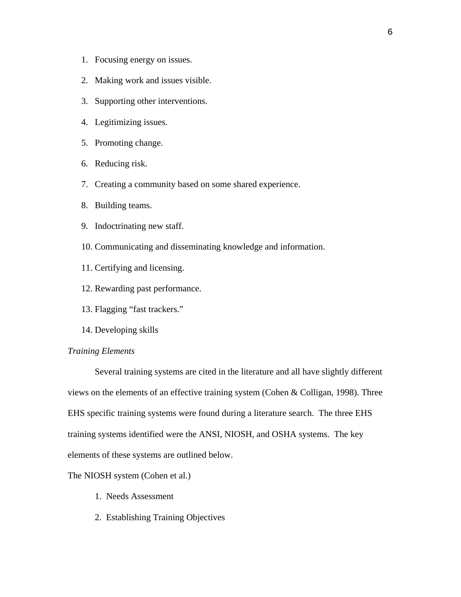- 1. Focusing energy on issues.
- 2. Making work and issues visible.
- 3. Supporting other interventions.
- 4. Legitimizing issues.
- 5. Promoting change.
- 6. Reducing risk.
- 7. Creating a community based on some shared experience.
- 8. Building teams.
- 9. Indoctrinating new staff.
- 10. Communicating and disseminating knowledge and information.
- 11. Certifying and licensing.
- 12. Rewarding past performance.
- 13. Flagging "fast trackers."
- 14. Developing skills

#### *Training Elements*

Several training systems are cited in the literature and all have slightly different views on the elements of an effective training system (Cohen & Colligan, 1998). Three EHS specific training systems were found during a literature search. The three EHS training systems identified were the ANSI, NIOSH, and OSHA systems. The key elements of these systems are outlined below.

The NIOSH system (Cohen et al.)

- 1. Needs Assessment
- 2. Establishing Training Objectives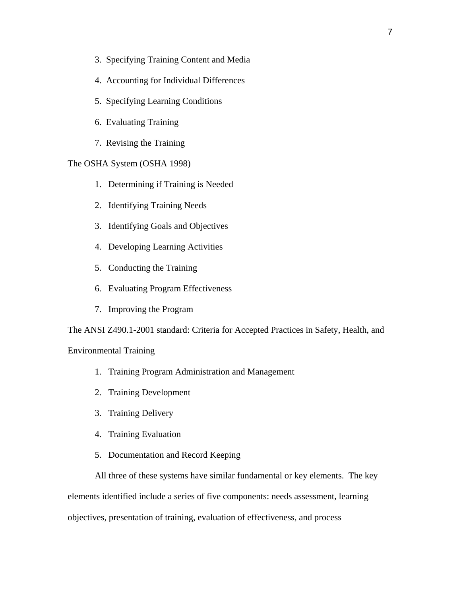- 3. Specifying Training Content and Media
- 4. Accounting for Individual Differences
- 5. Specifying Learning Conditions
- 6. Evaluating Training
- 7. Revising the Training

## The OSHA System (OSHA 1998)

- 1. Determining if Training is Needed
- 2. Identifying Training Needs
- 3. Identifying Goals and Objectives
- 4. Developing Learning Activities
- 5. Conducting the Training
- 6. Evaluating Program Effectiveness
- 7. Improving the Program

The ANSI Z490.1-2001 standard: Criteria for Accepted Practices in Safety, Health, and

#### Environmental Training

- 1. Training Program Administration and Management
- 2. Training Development
- 3. Training Delivery
- 4. Training Evaluation
- 5. Documentation and Record Keeping

All three of these systems have similar fundamental or key elements. The key elements identified include a series of five components: needs assessment, learning objectives, presentation of training, evaluation of effectiveness, and process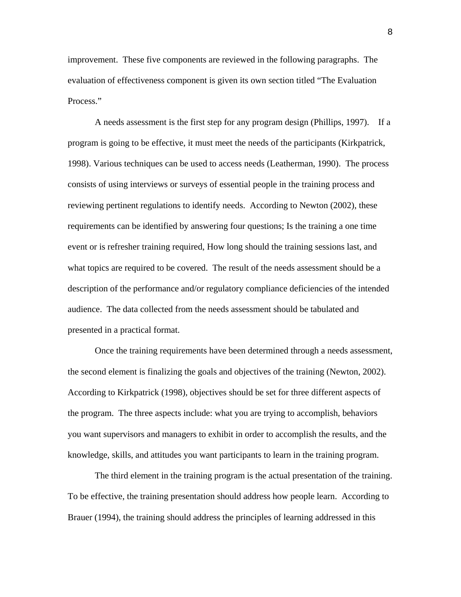improvement. These five components are reviewed in the following paragraphs. The evaluation of effectiveness component is given its own section titled "The Evaluation Process."

A needs assessment is the first step for any program design (Phillips, 1997). If a program is going to be effective, it must meet the needs of the participants (Kirkpatrick, 1998). Various techniques can be used to access needs (Leatherman, 1990). The process consists of using interviews or surveys of essential people in the training process and reviewing pertinent regulations to identify needs. According to Newton (2002), these requirements can be identified by answering four questions; Is the training a one time event or is refresher training required, How long should the training sessions last, and what topics are required to be covered. The result of the needs assessment should be a description of the performance and/or regulatory compliance deficiencies of the intended audience. The data collected from the needs assessment should be tabulated and presented in a practical format.

 Once the training requirements have been determined through a needs assessment, the second element is finalizing the goals and objectives of the training (Newton, 2002). According to Kirkpatrick (1998), objectives should be set for three different aspects of the program. The three aspects include: what you are trying to accomplish, behaviors you want supervisors and managers to exhibit in order to accomplish the results, and the knowledge, skills, and attitudes you want participants to learn in the training program.

 The third element in the training program is the actual presentation of the training. To be effective, the training presentation should address how people learn. According to Brauer (1994), the training should address the principles of learning addressed in this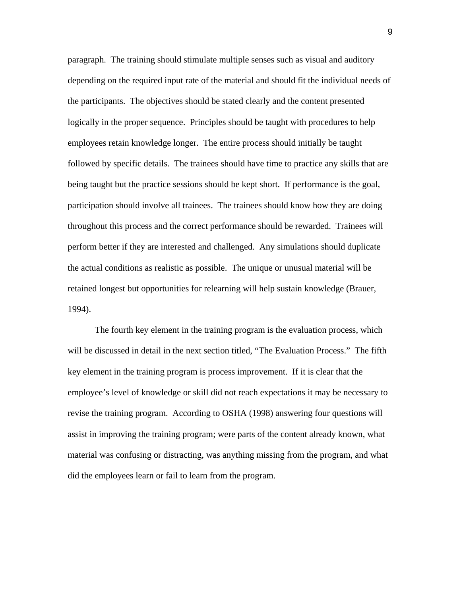paragraph. The training should stimulate multiple senses such as visual and auditory depending on the required input rate of the material and should fit the individual needs of the participants. The objectives should be stated clearly and the content presented logically in the proper sequence. Principles should be taught with procedures to help employees retain knowledge longer. The entire process should initially be taught followed by specific details. The trainees should have time to practice any skills that are being taught but the practice sessions should be kept short. If performance is the goal, participation should involve all trainees. The trainees should know how they are doing throughout this process and the correct performance should be rewarded. Trainees will perform better if they are interested and challenged. Any simulations should duplicate the actual conditions as realistic as possible. The unique or unusual material will be retained longest but opportunities for relearning will help sustain knowledge (Brauer, 1994).

The fourth key element in the training program is the evaluation process, which will be discussed in detail in the next section titled, "The Evaluation Process." The fifth key element in the training program is process improvement. If it is clear that the employee's level of knowledge or skill did not reach expectations it may be necessary to revise the training program. According to OSHA (1998) answering four questions will assist in improving the training program; were parts of the content already known, what material was confusing or distracting, was anything missing from the program, and what did the employees learn or fail to learn from the program.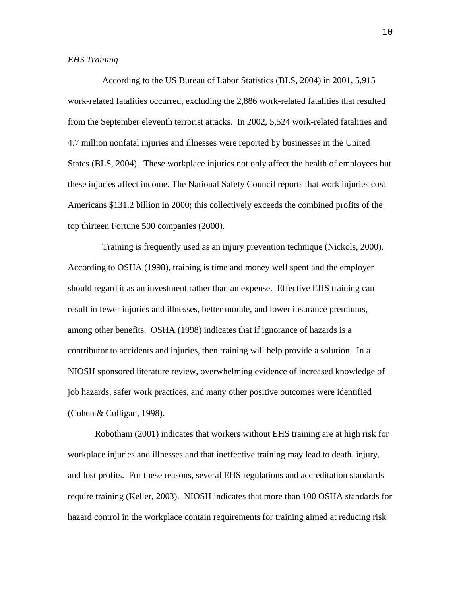#### *EHS Training*

 According to the US Bureau of Labor Statistics (BLS, 2004) in 2001, 5,915 work-related fatalities occurred, excluding the 2,886 work-related fatalities that resulted from the September eleventh terrorist attacks. In 2002, 5,524 work-related fatalities and 4.7 million nonfatal injuries and illnesses were reported by businesses in the United States (BLS, 2004). These workplace injuries not only affect the health of employees but these injuries affect income. The National Safety Council reports that work injuries cost Americans \$131.2 billion in 2000; this collectively exceeds the combined profits of the top thirteen Fortune 500 companies (2000).

 Training is frequently used as an injury prevention technique (Nickols, 2000). According to OSHA (1998), training is time and money well spent and the employer should regard it as an investment rather than an expense. Effective EHS training can result in fewer injuries and illnesses, better morale, and lower insurance premiums, among other benefits. OSHA (1998) indicates that if ignorance of hazards is a contributor to accidents and injuries, then training will help provide a solution. In a NIOSH sponsored literature review, overwhelming evidence of increased knowledge of job hazards, safer work practices, and many other positive outcomes were identified (Cohen & Colligan, 1998).

 Robotham (2001) indicates that workers without EHS training are at high risk for workplace injuries and illnesses and that ineffective training may lead to death, injury, and lost profits. For these reasons, several EHS regulations and accreditation standards require training (Keller, 2003). NIOSH indicates that more than 100 OSHA standards for hazard control in the workplace contain requirements for training aimed at reducing risk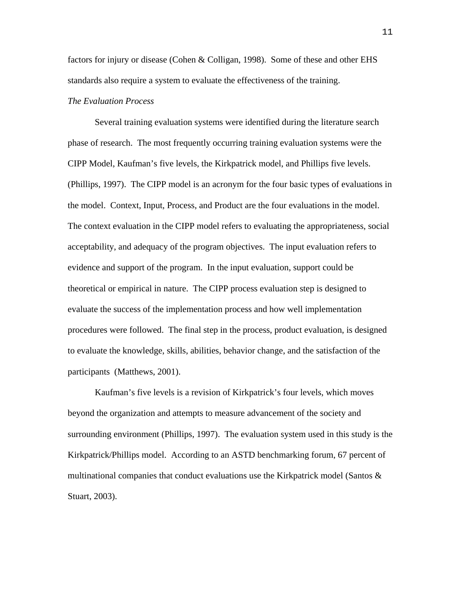factors for injury or disease (Cohen & Colligan, 1998). Some of these and other EHS standards also require a system to evaluate the effectiveness of the training.

# *The Evaluation Process*

Several training evaluation systems were identified during the literature search phase of research. The most frequently occurring training evaluation systems were the CIPP Model, Kaufman's five levels, the Kirkpatrick model, and Phillips five levels. (Phillips, 1997). The CIPP model is an acronym for the four basic types of evaluations in the model. Context, Input, Process, and Product are the four evaluations in the model. The context evaluation in the CIPP model refers to evaluating the appropriateness, social acceptability, and adequacy of the program objectives. The input evaluation refers to evidence and support of the program. In the input evaluation, support could be theoretical or empirical in nature. The CIPP process evaluation step is designed to evaluate the success of the implementation process and how well implementation procedures were followed. The final step in the process, product evaluation, is designed to evaluate the knowledge, skills, abilities, behavior change, and the satisfaction of the participants (Matthews, 2001).

Kaufman's five levels is a revision of Kirkpatrick's four levels, which moves beyond the organization and attempts to measure advancement of the society and surrounding environment (Phillips, 1997). The evaluation system used in this study is the Kirkpatrick/Phillips model. According to an ASTD benchmarking forum, 67 percent of multinational companies that conduct evaluations use the Kirkpatrick model (Santos  $\&$ Stuart, 2003).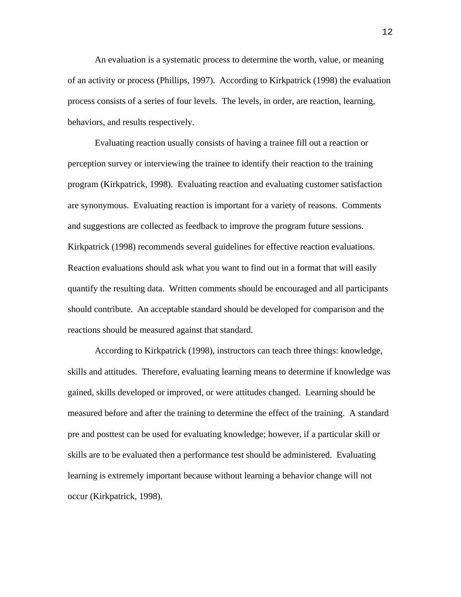An evaluation is a systematic process to determine the worth, value, or meaning of an activity or process (Phillips, 1997). According to Kirkpatrick (1998) the evaluation process consists of a series of four levels. The levels, in order, are reaction, learning, behaviors, and results respectively.

Evaluating reaction usually consists of having a trainee fill out a reaction or perception survey or interviewing the trainee to identify their reaction to the training program (Kirkpatrick, 1998). Evaluating reaction and evaluating customer satisfaction are synonymous. Evaluating reaction is important for a variety of reasons. Comments and suggestions are collected as feedback to improve the program future sessions. Kirkpatrick (1998) recommends several guidelines for effective reaction evaluations. Reaction evaluations should ask what you want to find out in a format that will easily quantify the resulting data. Written comments should be encouraged and all participants should contribute. An acceptable standard should be developed for comparison and the reactions should be measured against that standard.

According to Kirkpatrick (1998), instructors can teach three things: knowledge, skills and attitudes. Therefore, evaluating learning means to determine if knowledge was gained, skills developed or improved, or were attitudes changed. Learning should be measured before and after the training to determine the effect of the training. A standard pre and posttest can be used for evaluating knowledge; however, if a particular skill or skills are to be evaluated then a performance test should be administered. Evaluating learning is extremely important because without learning a behavior change will not occur (Kirkpatrick, 1998).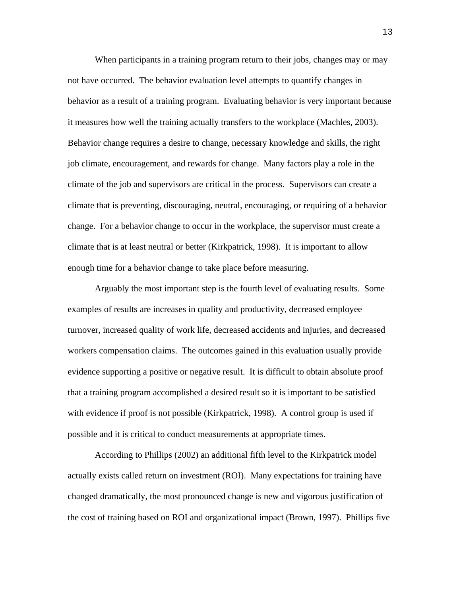When participants in a training program return to their jobs, changes may or may not have occurred. The behavior evaluation level attempts to quantify changes in behavior as a result of a training program. Evaluating behavior is very important because it measures how well the training actually transfers to the workplace (Machles, 2003). Behavior change requires a desire to change, necessary knowledge and skills, the right job climate, encouragement, and rewards for change. Many factors play a role in the climate of the job and supervisors are critical in the process. Supervisors can create a climate that is preventing, discouraging, neutral, encouraging, or requiring of a behavior change. For a behavior change to occur in the workplace, the supervisor must create a climate that is at least neutral or better (Kirkpatrick, 1998). It is important to allow enough time for a behavior change to take place before measuring.

Arguably the most important step is the fourth level of evaluating results. Some examples of results are increases in quality and productivity, decreased employee turnover, increased quality of work life, decreased accidents and injuries, and decreased workers compensation claims. The outcomes gained in this evaluation usually provide evidence supporting a positive or negative result. It is difficult to obtain absolute proof that a training program accomplished a desired result so it is important to be satisfied with evidence if proof is not possible (Kirkpatrick, 1998). A control group is used if possible and it is critical to conduct measurements at appropriate times.

According to Phillips (2002) an additional fifth level to the Kirkpatrick model actually exists called return on investment (ROI). Many expectations for training have changed dramatically, the most pronounced change is new and vigorous justification of the cost of training based on ROI and organizational impact (Brown, 1997). Phillips five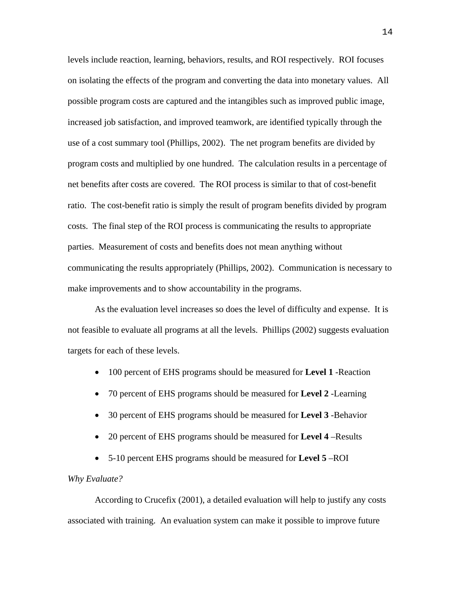levels include reaction, learning, behaviors, results, and ROI respectively. ROI focuses on isolating the effects of the program and converting the data into monetary values. All possible program costs are captured and the intangibles such as improved public image, increased job satisfaction, and improved teamwork, are identified typically through the use of a cost summary tool (Phillips, 2002). The net program benefits are divided by program costs and multiplied by one hundred. The calculation results in a percentage of net benefits after costs are covered. The ROI process is similar to that of cost-benefit ratio. The cost-benefit ratio is simply the result of program benefits divided by program costs. The final step of the ROI process is communicating the results to appropriate parties. Measurement of costs and benefits does not mean anything without communicating the results appropriately (Phillips, 2002). Communication is necessary to make improvements and to show accountability in the programs.

As the evaluation level increases so does the level of difficulty and expense. It is not feasible to evaluate all programs at all the levels. Phillips (2002) suggests evaluation targets for each of these levels.

- 100 percent of EHS programs should be measured for **Level 1** -Reaction
- 70 percent of EHS programs should be measured for **Level 2** -Learning
- 30 percent of EHS programs should be measured for **Level 3** -Behavior
- 20 percent of EHS programs should be measured for **Level 4** –Results
- 5-10 percent EHS programs should be measured for **Level 5** –ROI

## *Why Evaluate?*

According to Crucefix (2001), a detailed evaluation will help to justify any costs associated with training. An evaluation system can make it possible to improve future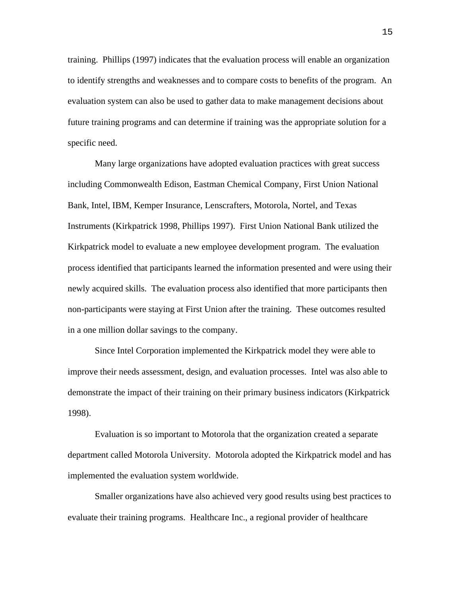training. Phillips (1997) indicates that the evaluation process will enable an organization to identify strengths and weaknesses and to compare costs to benefits of the program. An evaluation system can also be used to gather data to make management decisions about future training programs and can determine if training was the appropriate solution for a specific need.

Many large organizations have adopted evaluation practices with great success including Commonwealth Edison, Eastman Chemical Company, First Union National Bank, Intel, IBM, Kemper Insurance, Lenscrafters, Motorola, Nortel, and Texas Instruments (Kirkpatrick 1998, Phillips 1997). First Union National Bank utilized the Kirkpatrick model to evaluate a new employee development program. The evaluation process identified that participants learned the information presented and were using their newly acquired skills. The evaluation process also identified that more participants then non-participants were staying at First Union after the training. These outcomes resulted in a one million dollar savings to the company.

Since Intel Corporation implemented the Kirkpatrick model they were able to improve their needs assessment, design, and evaluation processes. Intel was also able to demonstrate the impact of their training on their primary business indicators (Kirkpatrick 1998).

Evaluation is so important to Motorola that the organization created a separate department called Motorola University. Motorola adopted the Kirkpatrick model and has implemented the evaluation system worldwide.

Smaller organizations have also achieved very good results using best practices to evaluate their training programs. Healthcare Inc., a regional provider of healthcare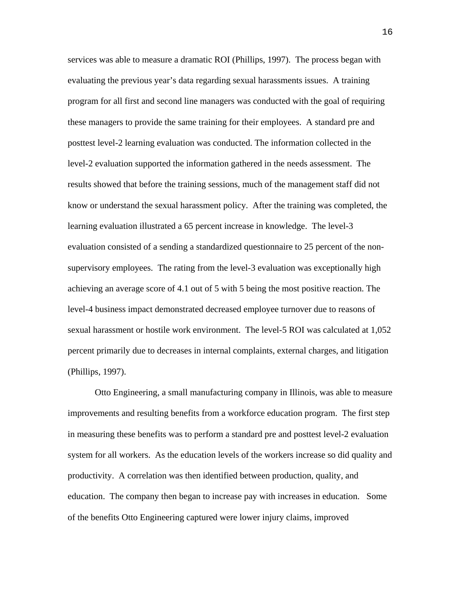services was able to measure a dramatic ROI (Phillips, 1997). The process began with evaluating the previous year's data regarding sexual harassments issues. A training program for all first and second line managers was conducted with the goal of requiring these managers to provide the same training for their employees. A standard pre and posttest level-2 learning evaluation was conducted. The information collected in the level-2 evaluation supported the information gathered in the needs assessment. The results showed that before the training sessions, much of the management staff did not know or understand the sexual harassment policy. After the training was completed, the learning evaluation illustrated a 65 percent increase in knowledge. The level-3 evaluation consisted of a sending a standardized questionnaire to 25 percent of the nonsupervisory employees. The rating from the level-3 evaluation was exceptionally high achieving an average score of 4.1 out of 5 with 5 being the most positive reaction. The level-4 business impact demonstrated decreased employee turnover due to reasons of sexual harassment or hostile work environment. The level-5 ROI was calculated at 1,052 percent primarily due to decreases in internal complaints, external charges, and litigation (Phillips, 1997).

Otto Engineering, a small manufacturing company in Illinois, was able to measure improvements and resulting benefits from a workforce education program. The first step in measuring these benefits was to perform a standard pre and posttest level-2 evaluation system for all workers. As the education levels of the workers increase so did quality and productivity. A correlation was then identified between production, quality, and education. The company then began to increase pay with increases in education. Some of the benefits Otto Engineering captured were lower injury claims, improved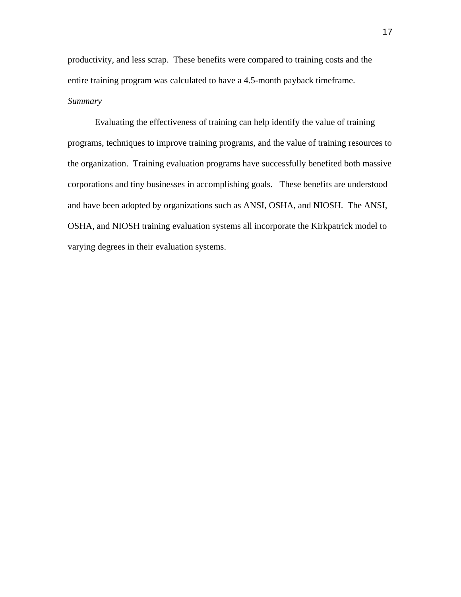productivity, and less scrap. These benefits were compared to training costs and the entire training program was calculated to have a 4.5-month payback timeframe. *Summary* 

Evaluating the effectiveness of training can help identify the value of training programs, techniques to improve training programs, and the value of training resources to the organization. Training evaluation programs have successfully benefited both massive corporations and tiny businesses in accomplishing goals. These benefits are understood and have been adopted by organizations such as ANSI, OSHA, and NIOSH. The ANSI, OSHA, and NIOSH training evaluation systems all incorporate the Kirkpatrick model to varying degrees in their evaluation systems.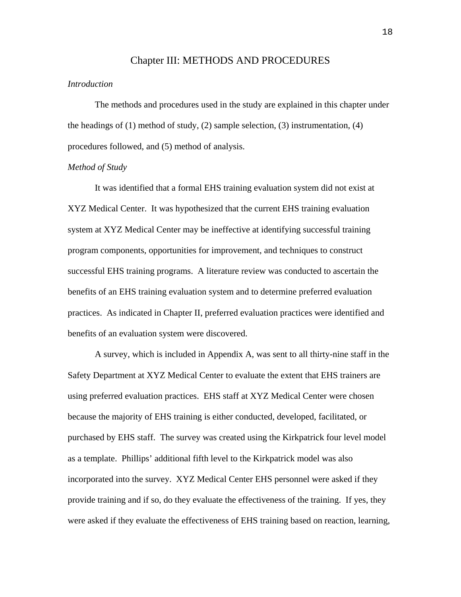#### Chapter III: METHODS AND PROCEDURES

## *Introduction*

The methods and procedures used in the study are explained in this chapter under the headings of  $(1)$  method of study,  $(2)$  sample selection,  $(3)$  instrumentation,  $(4)$ procedures followed, and (5) method of analysis.

#### *Method of Study*

It was identified that a formal EHS training evaluation system did not exist at XYZ Medical Center. It was hypothesized that the current EHS training evaluation system at XYZ Medical Center may be ineffective at identifying successful training program components, opportunities for improvement, and techniques to construct successful EHS training programs. A literature review was conducted to ascertain the benefits of an EHS training evaluation system and to determine preferred evaluation practices. As indicated in Chapter II, preferred evaluation practices were identified and benefits of an evaluation system were discovered.

A survey, which is included in Appendix A, was sent to all thirty-nine staff in the Safety Department at XYZ Medical Center to evaluate the extent that EHS trainers are using preferred evaluation practices. EHS staff at XYZ Medical Center were chosen because the majority of EHS training is either conducted, developed, facilitated, or purchased by EHS staff. The survey was created using the Kirkpatrick four level model as a template. Phillips' additional fifth level to the Kirkpatrick model was also incorporated into the survey. XYZ Medical Center EHS personnel were asked if they provide training and if so, do they evaluate the effectiveness of the training. If yes, they were asked if they evaluate the effectiveness of EHS training based on reaction, learning,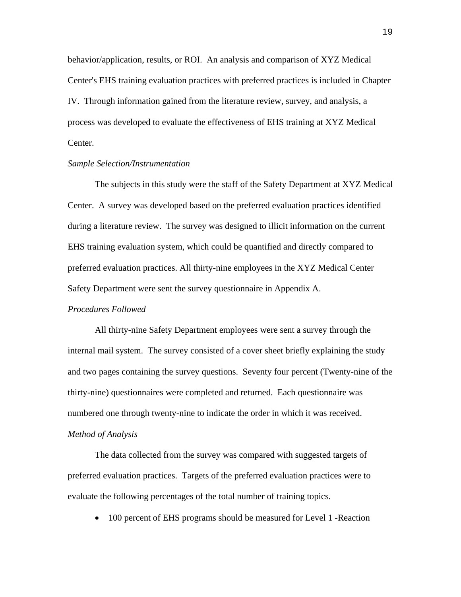behavior/application, results, or ROI. An analysis and comparison of XYZ Medical Center's EHS training evaluation practices with preferred practices is included in Chapter IV. Through information gained from the literature review, survey, and analysis, a process was developed to evaluate the effectiveness of EHS training at XYZ Medical Center.

#### *Sample Selection/Instrumentation*

The subjects in this study were the staff of the Safety Department at XYZ Medical Center. A survey was developed based on the preferred evaluation practices identified during a literature review. The survey was designed to illicit information on the current EHS training evaluation system, which could be quantified and directly compared to preferred evaluation practices. All thirty-nine employees in the XYZ Medical Center Safety Department were sent the survey questionnaire in Appendix A.

# *Procedures Followed*

All thirty-nine Safety Department employees were sent a survey through the internal mail system. The survey consisted of a cover sheet briefly explaining the study and two pages containing the survey questions. Seventy four percent (Twenty-nine of the thirty-nine) questionnaires were completed and returned. Each questionnaire was numbered one through twenty-nine to indicate the order in which it was received. *Method of Analysis* 

The data collected from the survey was compared with suggested targets of preferred evaluation practices. Targets of the preferred evaluation practices were to evaluate the following percentages of the total number of training topics.

• 100 percent of EHS programs should be measured for Level 1 - Reaction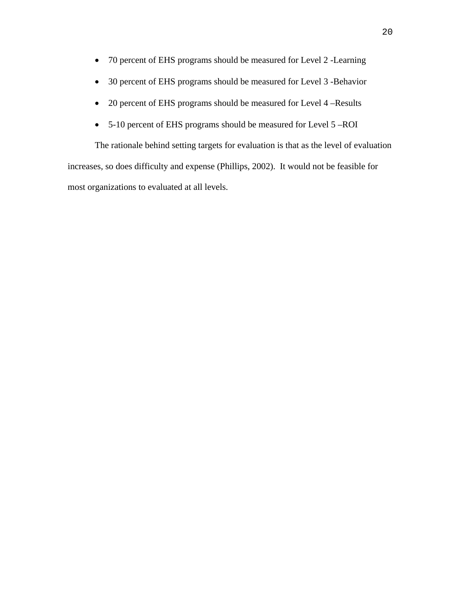- 70 percent of EHS programs should be measured for Level 2 -Learning
- 30 percent of EHS programs should be measured for Level 3 -Behavior
- 20 percent of EHS programs should be measured for Level 4 –Results
- 5-10 percent of EHS programs should be measured for Level 5 –ROI

The rationale behind setting targets for evaluation is that as the level of evaluation increases, so does difficulty and expense (Phillips, 2002). It would not be feasible for most organizations to evaluated at all levels.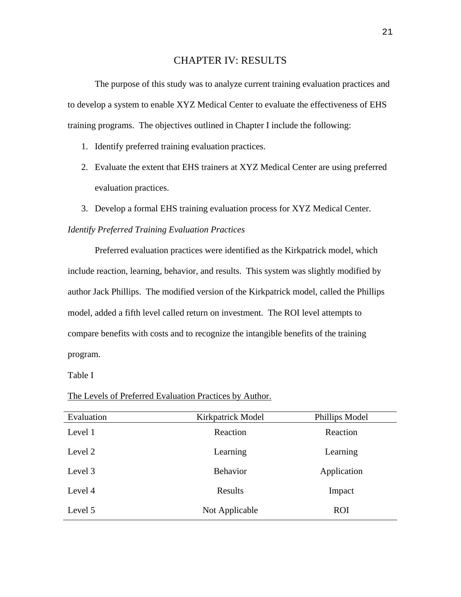# CHAPTER IV: RESULTS

The purpose of this study was to analyze current training evaluation practices and to develop a system to enable XYZ Medical Center to evaluate the effectiveness of EHS training programs. The objectives outlined in Chapter I include the following:

- 1. Identify preferred training evaluation practices.
- 2. Evaluate the extent that EHS trainers at XYZ Medical Center are using preferred evaluation practices.
- 3. Develop a formal EHS training evaluation process for XYZ Medical Center. *Identify Preferred Training Evaluation Practices*

Preferred evaluation practices were identified as the Kirkpatrick model, which include reaction, learning, behavior, and results. This system was slightly modified by author Jack Phillips. The modified version of the Kirkpatrick model, called the Phillips model, added a fifth level called return on investment. The ROI level attempts to compare benefits with costs and to recognize the intangible benefits of the training program.

Table I

The Levels of Preferred Evaluation Practices by Author.

| Evaluation | Kirkpatrick Model | Phillips Model |
|------------|-------------------|----------------|
| Level 1    | Reaction          | Reaction       |
| Level 2    | Learning          | Learning       |
| Level 3    | <b>Behavior</b>   | Application    |
| Level 4    | Results           | Impact         |
| Level 5    | Not Applicable    | <b>ROI</b>     |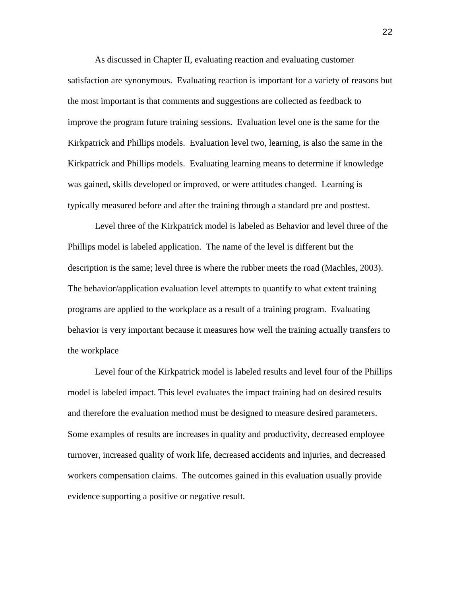As discussed in Chapter II, evaluating reaction and evaluating customer satisfaction are synonymous. Evaluating reaction is important for a variety of reasons but the most important is that comments and suggestions are collected as feedback to improve the program future training sessions. Evaluation level one is the same for the Kirkpatrick and Phillips models. Evaluation level two, learning, is also the same in the Kirkpatrick and Phillips models. Evaluating learning means to determine if knowledge was gained, skills developed or improved, or were attitudes changed. Learning is typically measured before and after the training through a standard pre and posttest.

Level three of the Kirkpatrick model is labeled as Behavior and level three of the Phillips model is labeled application. The name of the level is different but the description is the same; level three is where the rubber meets the road (Machles, 2003). The behavior/application evaluation level attempts to quantify to what extent training programs are applied to the workplace as a result of a training program. Evaluating behavior is very important because it measures how well the training actually transfers to the workplace

Level four of the Kirkpatrick model is labeled results and level four of the Phillips model is labeled impact. This level evaluates the impact training had on desired results and therefore the evaluation method must be designed to measure desired parameters. Some examples of results are increases in quality and productivity, decreased employee turnover, increased quality of work life, decreased accidents and injuries, and decreased workers compensation claims. The outcomes gained in this evaluation usually provide evidence supporting a positive or negative result.

22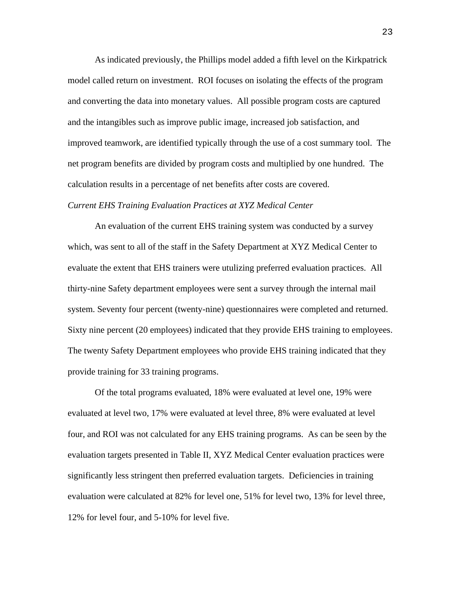As indicated previously, the Phillips model added a fifth level on the Kirkpatrick model called return on investment. ROI focuses on isolating the effects of the program and converting the data into monetary values. All possible program costs are captured and the intangibles such as improve public image, increased job satisfaction, and improved teamwork, are identified typically through the use of a cost summary tool. The net program benefits are divided by program costs and multiplied by one hundred. The calculation results in a percentage of net benefits after costs are covered.

#### *Current EHS Training Evaluation Practices at XYZ Medical Center*

An evaluation of the current EHS training system was conducted by a survey which, was sent to all of the staff in the Safety Department at XYZ Medical Center to evaluate the extent that EHS trainers were utulizing preferred evaluation practices. All thirty-nine Safety department employees were sent a survey through the internal mail system. Seventy four percent (twenty-nine) questionnaires were completed and returned. Sixty nine percent (20 employees) indicated that they provide EHS training to employees. The twenty Safety Department employees who provide EHS training indicated that they provide training for 33 training programs.

Of the total programs evaluated, 18% were evaluated at level one, 19% were evaluated at level two, 17% were evaluated at level three, 8% were evaluated at level four, and ROI was not calculated for any EHS training programs. As can be seen by the evaluation targets presented in Table II, XYZ Medical Center evaluation practices were significantly less stringent then preferred evaluation targets. Deficiencies in training evaluation were calculated at 82% for level one, 51% for level two, 13% for level three, 12% for level four, and 5-10% for level five.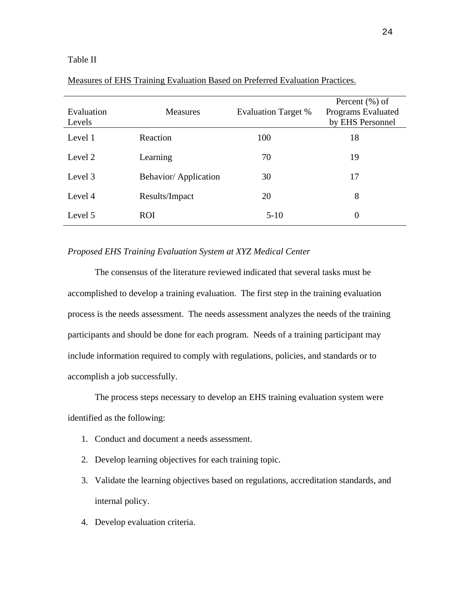## Table II

| Evaluation<br>Levels | <b>Measures</b>              | <b>Evaluation Target %</b> | Percent $(\% )$ of<br>Programs Evaluated<br>by EHS Personnel |
|----------------------|------------------------------|----------------------------|--------------------------------------------------------------|
| Level 1              | Reaction                     | 100                        | 18                                                           |
| Level 2              | Learning                     | 70                         | 19                                                           |
| Level 3              | <b>Behavior/</b> Application | 30                         | 17                                                           |
| Level 4              | Results/Impact               | 20                         | 8                                                            |
| Level 5              | <b>ROI</b>                   | $5-10$                     | $\overline{0}$                                               |

# Measures of EHS Training Evaluation Based on Preferred Evaluation Practices.

# *Proposed EHS Training Evaluation System at XYZ Medical Center*

The consensus of the literature reviewed indicated that several tasks must be accomplished to develop a training evaluation. The first step in the training evaluation process is the needs assessment. The needs assessment analyzes the needs of the training participants and should be done for each program. Needs of a training participant may include information required to comply with regulations, policies, and standards or to accomplish a job successfully.

The process steps necessary to develop an EHS training evaluation system were identified as the following:

- 1. Conduct and document a needs assessment.
- 2. Develop learning objectives for each training topic.
- 3. Validate the learning objectives based on regulations, accreditation standards, and internal policy.
- 4. Develop evaluation criteria.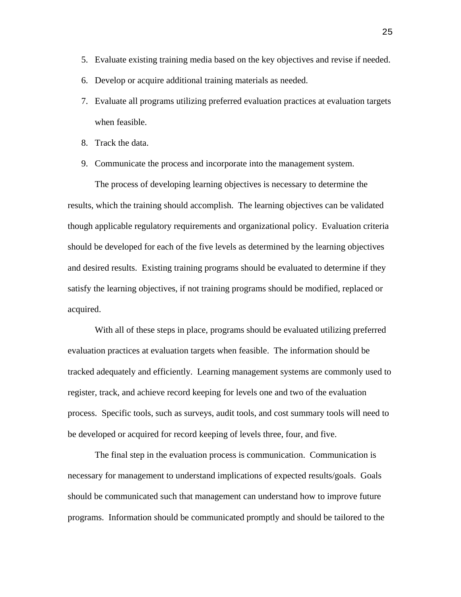- 5. Evaluate existing training media based on the key objectives and revise if needed.
- 6. Develop or acquire additional training materials as needed.
- 7. Evaluate all programs utilizing preferred evaluation practices at evaluation targets when feasible.
- 8. Track the data.
- 9. Communicate the process and incorporate into the management system.

The process of developing learning objectives is necessary to determine the results, which the training should accomplish. The learning objectives can be validated though applicable regulatory requirements and organizational policy. Evaluation criteria should be developed for each of the five levels as determined by the learning objectives and desired results. Existing training programs should be evaluated to determine if they satisfy the learning objectives, if not training programs should be modified, replaced or acquired.

With all of these steps in place, programs should be evaluated utilizing preferred evaluation practices at evaluation targets when feasible. The information should be tracked adequately and efficiently. Learning management systems are commonly used to register, track, and achieve record keeping for levels one and two of the evaluation process. Specific tools, such as surveys, audit tools, and cost summary tools will need to be developed or acquired for record keeping of levels three, four, and five.

The final step in the evaluation process is communication. Communication is necessary for management to understand implications of expected results/goals. Goals should be communicated such that management can understand how to improve future programs. Information should be communicated promptly and should be tailored to the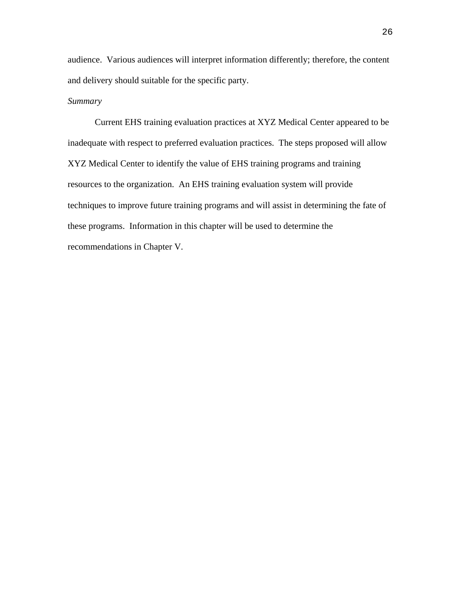audience. Various audiences will interpret information differently; therefore, the content and delivery should suitable for the specific party.

# *Summary*

Current EHS training evaluation practices at XYZ Medical Center appeared to be inadequate with respect to preferred evaluation practices. The steps proposed will allow XYZ Medical Center to identify the value of EHS training programs and training resources to the organization. An EHS training evaluation system will provide techniques to improve future training programs and will assist in determining the fate of these programs. Information in this chapter will be used to determine the recommendations in Chapter V.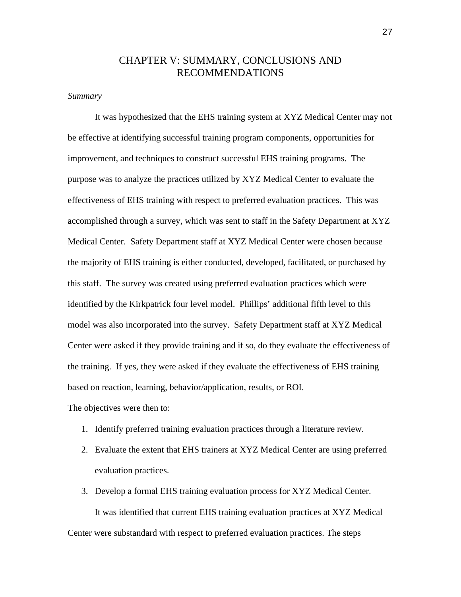# CHAPTER V: SUMMARY, CONCLUSIONS AND RECOMMENDATIONS

#### *Summary*

It was hypothesized that the EHS training system at XYZ Medical Center may not be effective at identifying successful training program components, opportunities for improvement, and techniques to construct successful EHS training programs. The purpose was to analyze the practices utilized by XYZ Medical Center to evaluate the effectiveness of EHS training with respect to preferred evaluation practices. This was accomplished through a survey, which was sent to staff in the Safety Department at XYZ Medical Center. Safety Department staff at XYZ Medical Center were chosen because the majority of EHS training is either conducted, developed, facilitated, or purchased by this staff. The survey was created using preferred evaluation practices which were identified by the Kirkpatrick four level model. Phillips' additional fifth level to this model was also incorporated into the survey. Safety Department staff at XYZ Medical Center were asked if they provide training and if so, do they evaluate the effectiveness of the training. If yes, they were asked if they evaluate the effectiveness of EHS training based on reaction, learning, behavior/application, results, or ROI.

The objectives were then to:

- 1. Identify preferred training evaluation practices through a literature review.
- 2. Evaluate the extent that EHS trainers at XYZ Medical Center are using preferred evaluation practices.
- 3. Develop a formal EHS training evaluation process for XYZ Medical Center. It was identified that current EHS training evaluation practices at XYZ Medical Center were substandard with respect to preferred evaluation practices. The steps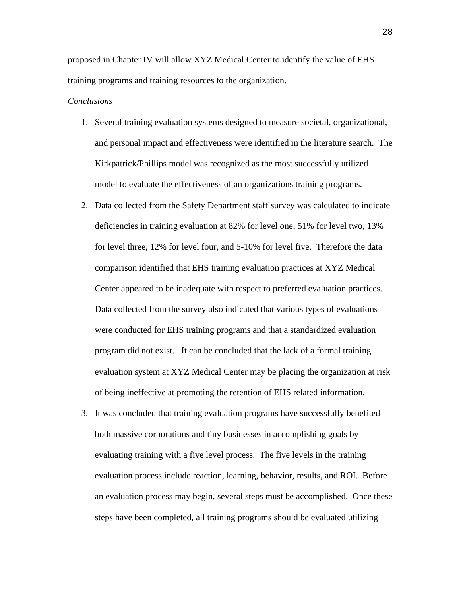proposed in Chapter IV will allow XYZ Medical Center to identify the value of EHS training programs and training resources to the organization.

## *Conclusions*

- 1. Several training evaluation systems designed to measure societal, organizational, and personal impact and effectiveness were identified in the literature search. The Kirkpatrick/Phillips model was recognized as the most successfully utilized model to evaluate the effectiveness of an organizations training programs.
- 2. Data collected from the Safety Department staff survey was calculated to indicate deficiencies in training evaluation at 82% for level one, 51% for level two, 13% for level three, 12% for level four, and 5-10% for level five. Therefore the data comparison identified that EHS training evaluation practices at XYZ Medical Center appeared to be inadequate with respect to preferred evaluation practices. Data collected from the survey also indicated that various types of evaluations were conducted for EHS training programs and that a standardized evaluation program did not exist. It can be concluded that the lack of a formal training evaluation system at XYZ Medical Center may be placing the organization at risk of being ineffective at promoting the retention of EHS related information.
- 3. It was concluded that training evaluation programs have successfully benefited both massive corporations and tiny businesses in accomplishing goals by evaluating training with a five level process. The five levels in the training evaluation process include reaction, learning, behavior, results, and ROI. Before an evaluation process may begin, several steps must be accomplished. Once these steps have been completed, all training programs should be evaluated utilizing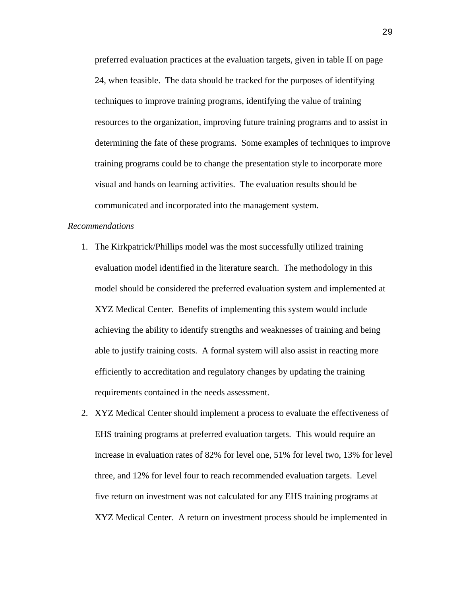preferred evaluation practices at the evaluation targets, given in table II on page 24, when feasible. The data should be tracked for the purposes of identifying techniques to improve training programs, identifying the value of training resources to the organization, improving future training programs and to assist in determining the fate of these programs. Some examples of techniques to improve training programs could be to change the presentation style to incorporate more visual and hands on learning activities. The evaluation results should be communicated and incorporated into the management system.

### *Recommendations*

- 1. The Kirkpatrick/Phillips model was the most successfully utilized training evaluation model identified in the literature search. The methodology in this model should be considered the preferred evaluation system and implemented at XYZ Medical Center. Benefits of implementing this system would include achieving the ability to identify strengths and weaknesses of training and being able to justify training costs. A formal system will also assist in reacting more efficiently to accreditation and regulatory changes by updating the training requirements contained in the needs assessment.
- 2. XYZ Medical Center should implement a process to evaluate the effectiveness of EHS training programs at preferred evaluation targets. This would require an increase in evaluation rates of 82% for level one, 51% for level two, 13% for level three, and 12% for level four to reach recommended evaluation targets. Level five return on investment was not calculated for any EHS training programs at XYZ Medical Center. A return on investment process should be implemented in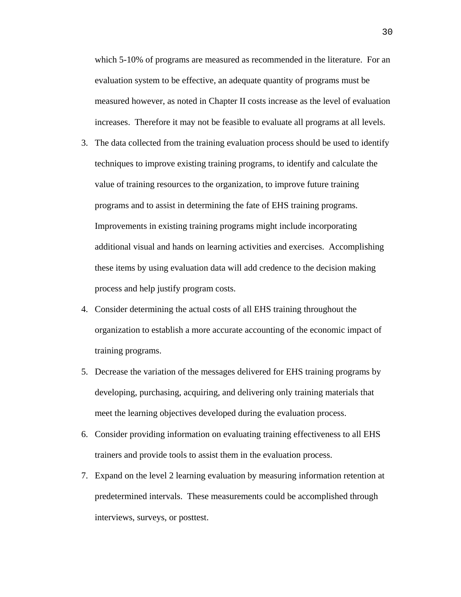which 5-10% of programs are measured as recommended in the literature. For an evaluation system to be effective, an adequate quantity of programs must be measured however, as noted in Chapter II costs increase as the level of evaluation increases. Therefore it may not be feasible to evaluate all programs at all levels.

- 3. The data collected from the training evaluation process should be used to identify techniques to improve existing training programs, to identify and calculate the value of training resources to the organization, to improve future training programs and to assist in determining the fate of EHS training programs. Improvements in existing training programs might include incorporating additional visual and hands on learning activities and exercises. Accomplishing these items by using evaluation data will add credence to the decision making process and help justify program costs.
- 4. Consider determining the actual costs of all EHS training throughout the organization to establish a more accurate accounting of the economic impact of training programs.
- 5. Decrease the variation of the messages delivered for EHS training programs by developing, purchasing, acquiring, and delivering only training materials that meet the learning objectives developed during the evaluation process.
- 6. Consider providing information on evaluating training effectiveness to all EHS trainers and provide tools to assist them in the evaluation process.
- 7. Expand on the level 2 learning evaluation by measuring information retention at predetermined intervals. These measurements could be accomplished through interviews, surveys, or posttest.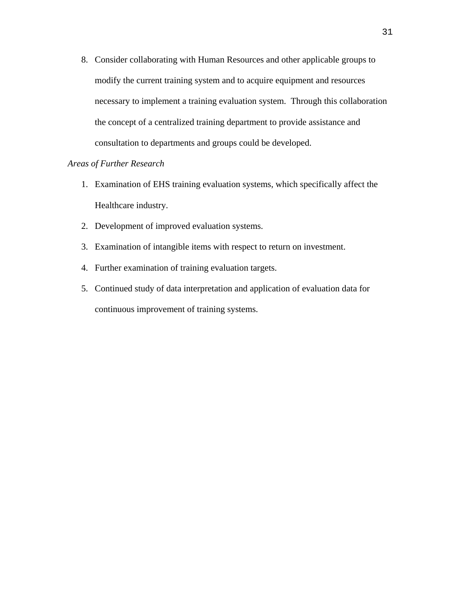8. Consider collaborating with Human Resources and other applicable groups to modify the current training system and to acquire equipment and resources necessary to implement a training evaluation system. Through this collaboration the concept of a centralized training department to provide assistance and consultation to departments and groups could be developed.

# *Areas of Further Research*

- 1. Examination of EHS training evaluation systems, which specifically affect the Healthcare industry.
- 2. Development of improved evaluation systems.
- 3. Examination of intangible items with respect to return on investment.
- 4. Further examination of training evaluation targets.
- 5. Continued study of data interpretation and application of evaluation data for continuous improvement of training systems.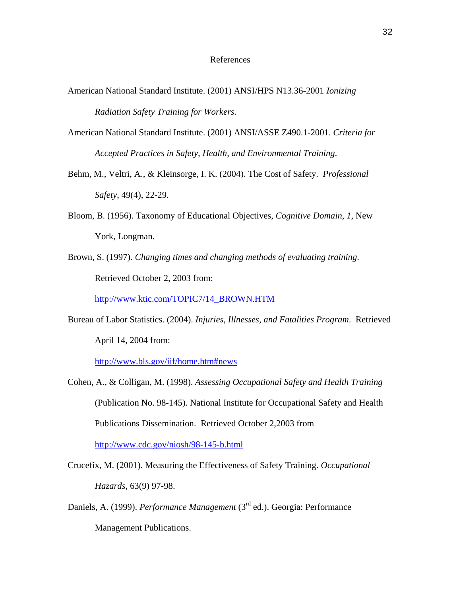#### References

- American National Standard Institute. (2001) ANSI/HPS N13.36-2001 *Ionizing Radiation Safety Training for Workers.*
- American National Standard Institute. (2001) ANSI/ASSE Z490.1-2001. *Criteria for Accepted Practices in Safety, Health, and Environmental Training*.
- Behm, M., Veltri, A., & Kleinsorge, I. K. (2004). The Cost of Safety. *Professional Safety*, 49(4), 22-29.
- Bloom, B. (1956). Taxonomy of Educational Objectives, *Cognitive Domain*, *1*, New York, Longman.
- Brown, S. (1997). *Changing times and changing methods of evaluating training*. Retrieved October 2, 2003 from:

[http://www.ktic.com/TOPIC7/14\\_BROWN.HTM](http://www.ktic.com/TOPIC7/14_BROWN.HTM) 

Bureau of Labor Statistics. (2004). *Injuries, Illnesses, and Fatalities Program*. Retrieved April 14, 2004 from:

http://www.bls.gov/iif/home.htm#news

Cohen, A., & Colligan, M. (1998). *Assessing Occupational Safety and Health Training* (Publication No. 98-145). National Institute for Occupational Safety and Health Publications Dissemination. Retrieved October 2,2003 from

<http://www.cdc.gov/niosh/98-145-b.html>

- Crucefix, M. (2001). Measuring the Effectiveness of Safety Training. *Occupational Hazards,* 63(9) 97-98.
- Daniels, A. (1999). *Performance Management* (3rd ed.). Georgia: Performance Management Publications.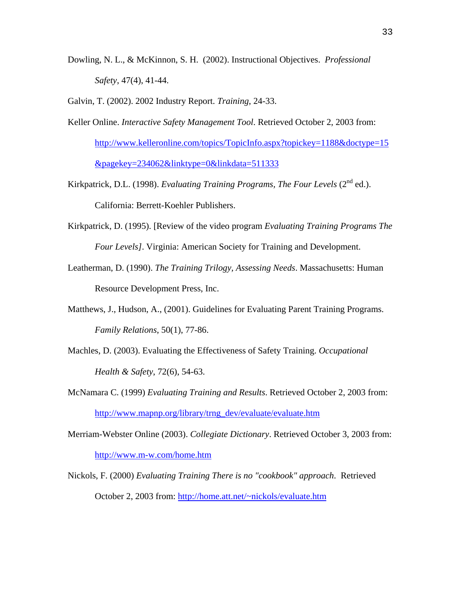Dowling, N. L., & McKinnon, S. H. (2002). Instructional Objectives. *Professional Safety*, 47(4), 41-44.

Galvin, T. (2002). 2002 Industry Report. *Training*, 24-33.

- Keller Online. *Interactive Safety Management Tool*. Retrieved October 2, 2003 from: [http://www.kelleronline.com/topics/TopicInfo.aspx?topickey=1188&doctype=15](http://www.kelleronline.com/topics/TopicInfo.aspx?topickey=1188&doctype=15&pagekey=234062&linktype=0&linkdata=511333) [&pagekey=234062&linktype=0&linkdata=511333](http://www.kelleronline.com/topics/TopicInfo.aspx?topickey=1188&doctype=15&pagekey=234062&linktype=0&linkdata=511333)
- Kirkpatrick, D.L. (1998). *Evaluating Training Programs, The Four Levels* ( $2<sup>nd</sup>$  ed.). California: Berrett-Koehler Publishers.
- Kirkpatrick, D. (1995). [Review of the video program *Evaluating Training Programs The Four Levels]*. Virginia: American Society for Training and Development.
- Leatherman, D. (1990). *The Training Trilogy, Assessing Needs*. Massachusetts: Human Resource Development Press, Inc.
- Matthews, J., Hudson, A., (2001). Guidelines for Evaluating Parent Training Programs. *Family Relations*, 50(1), 77-86.
- Machles, D. (2003). Evaluating the Effectiveness of Safety Training. *Occupational Health & Safety*, 72(6), 54-63.
- McNamara C. (1999) *Evaluating Training and Results*. Retrieved October 2, 2003 from: [http://www.mapnp.org/library/trng\\_dev/evaluate/evaluate.htm](http://www.mapnp.org/library/trng_dev/evaluate/evaluate.htm)
- Merriam-Webster Online (2003). *Collegiate Dictionary*. Retrieved October 3, 2003 from: <http://www.m-w.com/home.htm>
- Nickols, F. (2000) *Evaluating Training There is no "cookbook" approach*. Retrieved October 2, 2003 from:<http://home.att.net/~nickols/evaluate.htm>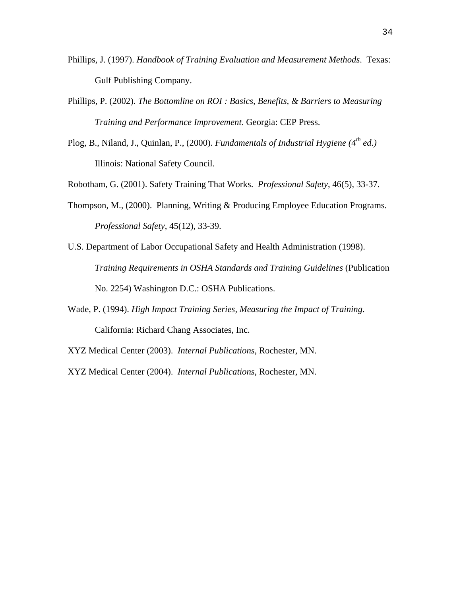- Phillips, J. (1997). *Handbook of Training Evaluation and Measurement Methods*. Texas: Gulf Publishing Company.
- Phillips, P. (2002). *The Bottomline on ROI : Basics, Benefits, & Barriers to Measuring Training and Performance Improvement*. Georgia: CEP Press.
- Plog, B., Niland, J., Quinlan, P., (2000). *Fundamentals of Industrial Hygiene (4th ed.)* Illinois: National Safety Council.

Robotham, G. (2001). Safety Training That Works. *Professional Safety*, 46(5), 33-37.

- Thompson, M., (2000). Planning, Writing & Producing Employee Education Programs. *Professional Safety*, 45(12), 33-39.
- U.S. Department of Labor Occupational Safety and Health Administration (1998). *Training Requirements in OSHA Standards and Training Guidelines* (Publication No. 2254) Washington D.C.: OSHA Publications.
- Wade, P. (1994). *High Impact Training Series, Measuring the Impact of Training*. California: Richard Chang Associates, Inc.
- XYZ Medical Center (2003). *Internal Publications*, Rochester, MN.

XYZ Medical Center (2004). *Internal Publications*, Rochester, MN.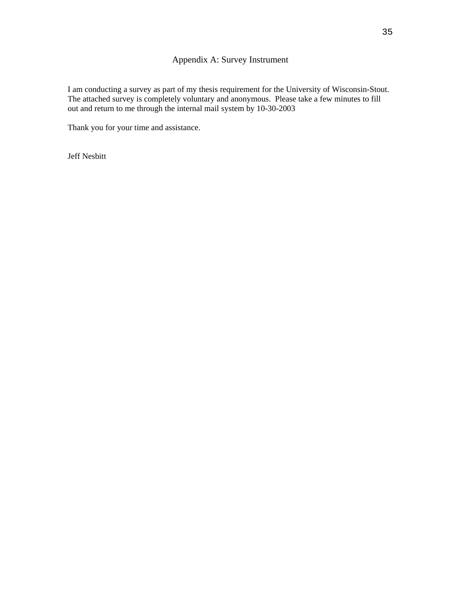# Appendix A: Survey Instrument

I am conducting a survey as part of my thesis requirement for the University of Wisconsin-Stout. The attached survey is completely voluntary and anonymous. Please take a few minutes to fill out and return to me through the internal mail system by 10-30-2003

Thank you for your time and assistance.

Jeff Nesbitt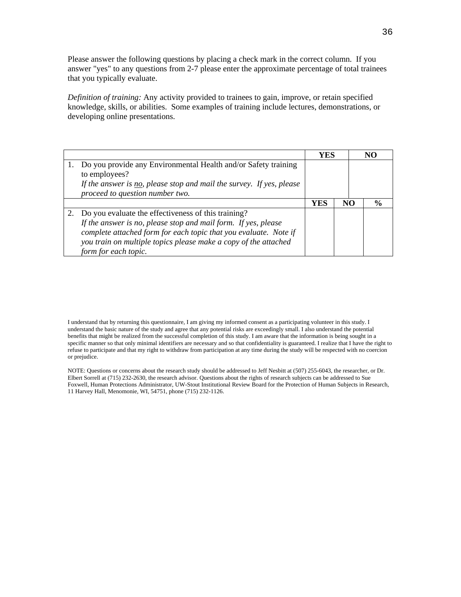Please answer the following questions by placing a check mark in the correct column. If you answer "yes" to any questions from 2-7 please enter the approximate percentage of total trainees that you typically evaluate.

*Definition of training:* Any activity provided to trainees to gain, improve, or retain specified knowledge, skills, or abilities. Some examples of training include lectures, demonstrations, or developing online presentations.

|                                                                                                                                                                                                                                                                                      | YES |    | NG            |
|--------------------------------------------------------------------------------------------------------------------------------------------------------------------------------------------------------------------------------------------------------------------------------------|-----|----|---------------|
| Do you provide any Environmental Health and/or Safety training<br>to employees?<br>If the answer is $no$ , please stop and mail the survey. If yes, please<br>proceed to question number two.                                                                                        |     |    |               |
|                                                                                                                                                                                                                                                                                      | YES | NO | $\frac{0}{0}$ |
| Do you evaluate the effectiveness of this training?<br>If the answer is no, please stop and mail form. If yes, please<br>complete attached form for each topic that you evaluate. Note if<br>you train on multiple topics please make a copy of the attached<br>form for each topic. |     |    |               |

I understand that by returning this questionnaire, I am giving my informed consent as a participating volunteer in this study. I understand the basic nature of the study and agree that any potential risks are exceedingly small. I also understand the potential benefits that might be realized from the successful completion of this study. I am aware that the information is being sought in a specific manner so that only minimal identifiers are necessary and so that confidentiality is guaranteed. I realize that I have the right to refuse to participate and that my right to withdraw from participation at any time during the study will be respected with no coercion or prejudice.

NOTE: Questions or concerns about the research study should be addressed to Jeff Nesbitt at (507) 255-6043, the researcher, or Dr. Elbert Sorrell at (715) 232-2630, the research advisor. Questions about the rights of research subjects can be addressed to Sue Foxwell, Human Protections Administrator, UW-Stout Institutional Review Board for the Protection of Human Subjects in Research, 11 Harvey Hall, Menomonie, WI, 54751, phone (715) 232-1126.